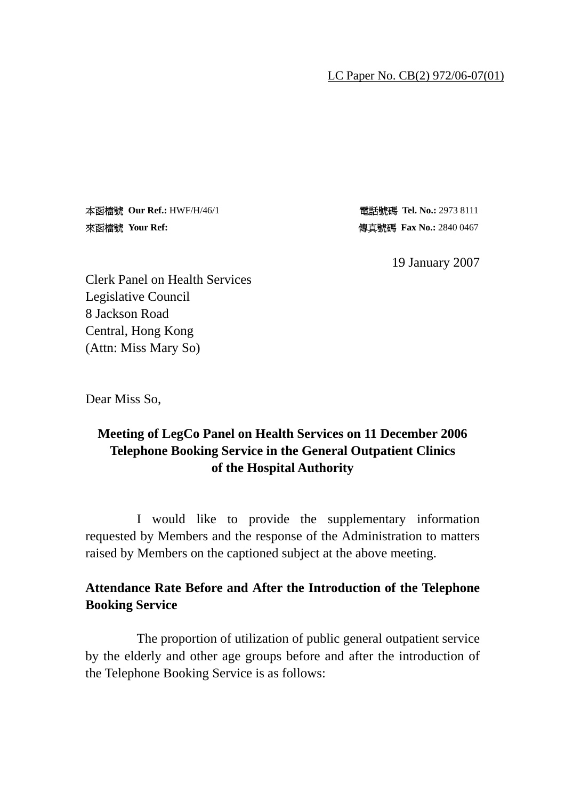#### LC Paper No. CB(2) 972/06-07(01)

本函檔號 **Our Ref.:** HWF/H/46/1 電話號碼 **Tel. No.:** 2973 8111 來函檔號 Your Ref: **existed as a face of the set of the of the of the of the set of the set of the set of the set of the set of the set of the set of the set of the set of the set of the set of the set of the set of the set o** 

19 January 2007

Clerk Panel on Health Services Legislative Council 8 Jackson Road Central, Hong Kong (Attn: Miss Mary So)

Dear Miss So,

## **Meeting of LegCo Panel on Health Services on 11 December 2006 Telephone Booking Service in the General Outpatient Clinics of the Hospital Authority**

 I would like to provide the supplementary information requested by Members and the response of the Administration to matters raised by Members on the captioned subject at the above meeting.

## **Attendance Rate Before and After the Introduction of the Telephone Booking Service**

 The proportion of utilization of public general outpatient service by the elderly and other age groups before and after the introduction of the Telephone Booking Service is as follows: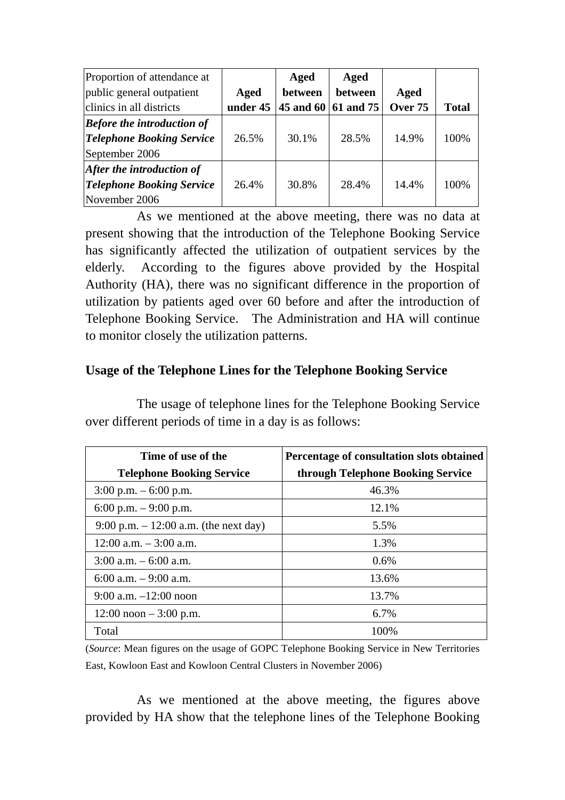| Proportion of attendance at       |          | Aged    | Aged                   |         |              |
|-----------------------------------|----------|---------|------------------------|---------|--------------|
| public general outpatient         | Aged     | between | between                | Aged    |              |
| clinics in all districts          | under 45 |         | 45 and 60 $ 61$ and 75 | Over 75 | <b>Total</b> |
| <b>Before the introduction of</b> |          |         |                        |         |              |
| <b>Telephone Booking Service</b>  | 26.5%    | 30.1%   | 28.5%                  | 14.9%   | 100%         |
| September 2006                    |          |         |                        |         |              |
| After the introduction of         |          |         |                        |         |              |
| <b>Telephone Booking Service</b>  | 26.4%    | 30.8%   | 28.4%                  | 14.4%   | 100%         |
| November 2006                     |          |         |                        |         |              |

 As we mentioned at the above meeting, there was no data at present showing that the introduction of the Telephone Booking Service has significantly affected the utilization of outpatient services by the elderly. According to the figures above provided by the Hospital Authority (HA), there was no significant difference in the proportion of utilization by patients aged over 60 before and after the introduction of Telephone Booking Service. The Administration and HA will continue to monitor closely the utilization patterns.

### **Usage of the Telephone Lines for the Telephone Booking Service**

| Time of use of the<br><b>Telephone Booking Service</b> | Percentage of consultation slots obtained<br>through Telephone Booking Service |
|--------------------------------------------------------|--------------------------------------------------------------------------------|
| $3:00$ p.m. $-6:00$ p.m.                               | 46.3%                                                                          |
| 6:00 p.m. $-9:00$ p.m.                                 | 12.1%                                                                          |
| 9:00 p.m. $- 12:00$ a.m. (the next day)                | 5.5%                                                                           |
| $12:00$ a.m. $-3:00$ a.m.                              | 1.3%                                                                           |
| $3:00$ a.m. $-6:00$ a.m.                               | $0.6\%$                                                                        |
| 6:00 a.m. $-9:00$ a.m.                                 | 13.6%                                                                          |
| $9:00$ a.m. $-12:00$ noon                              | 13.7%                                                                          |
| $12:00$ noon $-3:00$ p.m.                              | 6.7%                                                                           |
| Total                                                  | 100\%                                                                          |

 The usage of telephone lines for the Telephone Booking Service over different periods of time in a day is as follows:

(*Source*: Mean figures on the usage of GOPC Telephone Booking Service in New Territories East, Kowloon East and Kowloon Central Clusters in November 2006)

 As we mentioned at the above meeting, the figures above provided by HA show that the telephone lines of the Telephone Booking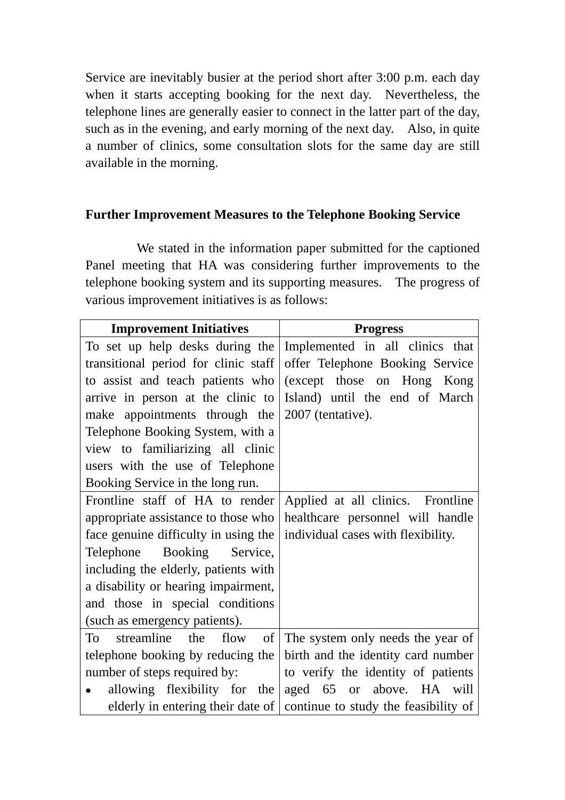Service are inevitably busier at the period short after 3:00 p.m. each day when it starts accepting booking for the next day. Nevertheless, the telephone lines are generally easier to connect in the latter part of the day, such as in the evening, and early morning of the next day. Also, in quite a number of clinics, some consultation slots for the same day are still available in the morning.

### **Further Improvement Measures to the Telephone Booking Service**

 We stated in the information paper submitted for the captioned Panel meeting that HA was considering further improvements to the telephone booking system and its supporting measures. The progress of various improvement initiatives is as follows:

| <b>Improvement Initiatives</b>       | <b>Progress</b>                                                        |  |  |
|--------------------------------------|------------------------------------------------------------------------|--|--|
| To set up help desks during the      | Implemented in all clinics that                                        |  |  |
| transitional period for clinic staff | offer Telephone Booking Service                                        |  |  |
| to assist and teach patients who     | (except those on Hong Kong                                             |  |  |
| arrive in person at the clinic to    | Island) until the end of March                                         |  |  |
| make appointments through the        | 2007 (tentative).                                                      |  |  |
| Telephone Booking System, with a     |                                                                        |  |  |
| view to familiarizing all clinic     |                                                                        |  |  |
| users with the use of Telephone      |                                                                        |  |  |
| Booking Service in the long run.     |                                                                        |  |  |
| Frontline staff of HA to render      | Applied at all clinics. Frontline                                      |  |  |
| appropriate assistance to those who  | healthcare personnel will handle                                       |  |  |
| face genuine difficulty in using the | individual cases with flexibility.                                     |  |  |
| Telephone Booking<br>Service,        |                                                                        |  |  |
| including the elderly, patients with |                                                                        |  |  |
| a disability or hearing impairment,  |                                                                        |  |  |
| and those in special conditions      |                                                                        |  |  |
| (such as emergency patients).        |                                                                        |  |  |
| streamline<br>the flow<br>of<br>To   | The system only needs the year of                                      |  |  |
| telephone booking by reducing the    | birth and the identity card number                                     |  |  |
| number of steps required by:         | to verify the identity of patients                                     |  |  |
| allowing flexibility for the         | aged 65 or above. HA will                                              |  |  |
|                                      | elderly in entering their date of continue to study the feasibility of |  |  |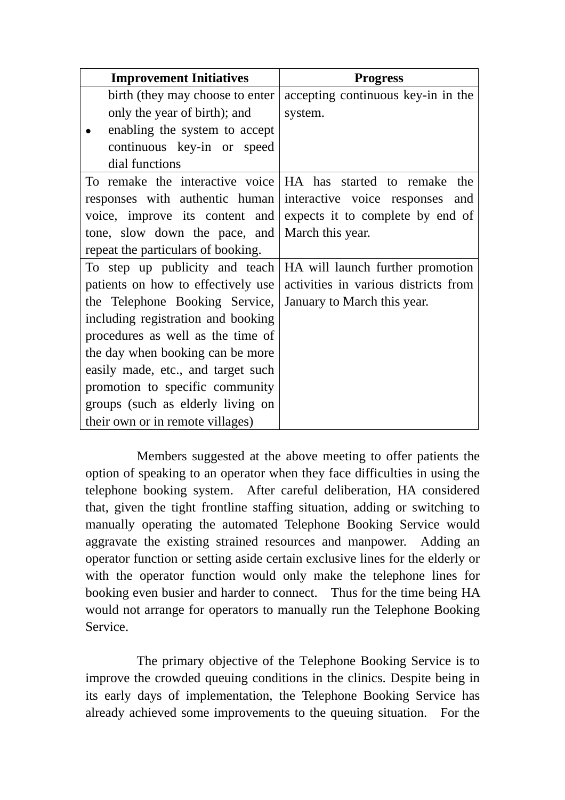| <b>Improvement Initiatives</b>     | <b>Progress</b>                      |  |  |
|------------------------------------|--------------------------------------|--|--|
| birth (they may choose to enter    | accepting continuous key-in in the   |  |  |
| only the year of birth); and       | system.                              |  |  |
| enabling the system to accept      |                                      |  |  |
| continuous key-in or speed         |                                      |  |  |
| dial functions                     |                                      |  |  |
| To remake the interactive voice    | HA has started to remake the         |  |  |
| responses with authentic human     | interactive voice responses<br>and   |  |  |
| voice, improve its content and     | expects it to complete by end of     |  |  |
| tone, slow down the pace, and      | March this year.                     |  |  |
| repeat the particulars of booking. |                                      |  |  |
| To step up publicity and teach     | HA will launch further promotion     |  |  |
| patients on how to effectively use | activities in various districts from |  |  |
| the Telephone Booking Service,     | January to March this year.          |  |  |
| including registration and booking |                                      |  |  |
| procedures as well as the time of  |                                      |  |  |
| the day when booking can be more   |                                      |  |  |
| easily made, etc., and target such |                                      |  |  |
| promotion to specific community    |                                      |  |  |
| groups (such as elderly living on  |                                      |  |  |
| their own or in remote villages)   |                                      |  |  |

 Members suggested at the above meeting to offer patients the option of speaking to an operator when they face difficulties in using the telephone booking system. After careful deliberation, HA considered that, given the tight frontline staffing situation, adding or switching to manually operating the automated Telephone Booking Service would aggravate the existing strained resources and manpower. Adding an operator function or setting aside certain exclusive lines for the elderly or with the operator function would only make the telephone lines for booking even busier and harder to connect. Thus for the time being HA would not arrange for operators to manually run the Telephone Booking Service.

 The primary objective of the Telephone Booking Service is to improve the crowded queuing conditions in the clinics. Despite being in its early days of implementation, the Telephone Booking Service has already achieved some improvements to the queuing situation. For the